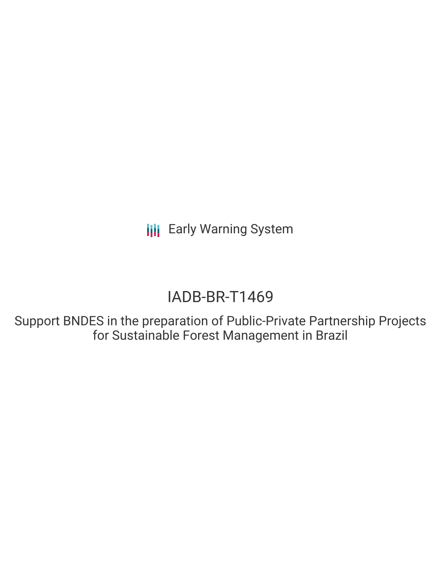# IADB-BR-T1469

Support BNDES in the preparation of Public-Private Partnership Projects for Sustainable Forest Management in Brazil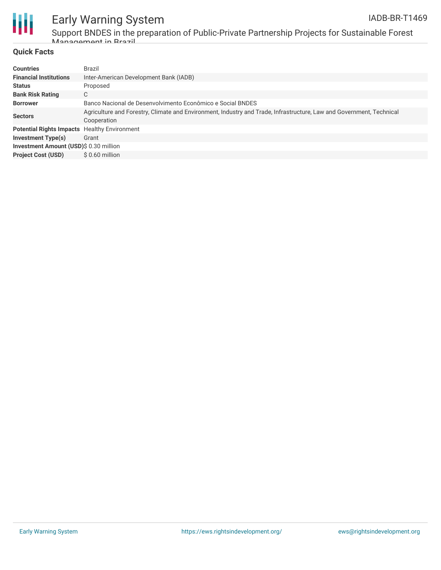

Support BNDES in the preparation of Public-Private Partnership Projects for Sustainable Forest Management in Brazil

### **Quick Facts**

| <b>Countries</b>                       | Brazil                                                                                                                              |  |  |  |  |  |
|----------------------------------------|-------------------------------------------------------------------------------------------------------------------------------------|--|--|--|--|--|
| <b>Financial Institutions</b>          | Inter-American Development Bank (IADB)                                                                                              |  |  |  |  |  |
| <b>Status</b>                          | Proposed                                                                                                                            |  |  |  |  |  |
| <b>Bank Risk Rating</b>                | С                                                                                                                                   |  |  |  |  |  |
| <b>Borrower</b>                        | Banco Nacional de Desenvolvimento Econômico e Social BNDES                                                                          |  |  |  |  |  |
| <b>Sectors</b>                         | Agriculture and Forestry, Climate and Environment, Industry and Trade, Infrastructure, Law and Government, Technical<br>Cooperation |  |  |  |  |  |
| <b>Potential Rights Impacts</b>        | <b>Healthy Environment</b>                                                                                                          |  |  |  |  |  |
| <b>Investment Type(s)</b>              | Grant                                                                                                                               |  |  |  |  |  |
| Investment Amount (USD)\$ 0.30 million |                                                                                                                                     |  |  |  |  |  |
| <b>Project Cost (USD)</b>              | $$0.60$ million                                                                                                                     |  |  |  |  |  |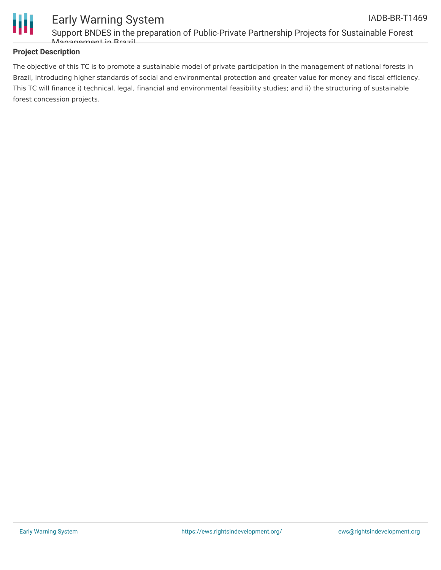

### **Project Description**

The objective of this TC is to promote a sustainable model of private participation in the management of national forests in Brazil, introducing higher standards of social and environmental protection and greater value for money and fiscal efficiency. This TC will finance i) technical, legal, financial and environmental feasibility studies; and ii) the structuring of sustainable forest concession projects.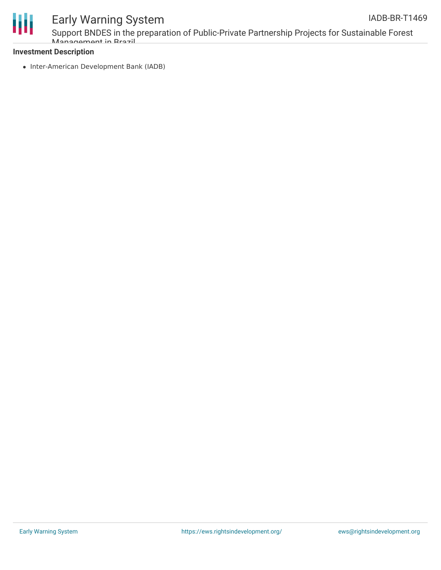

Support BNDES in the preparation of Public-Private Partnership Projects for Sustainable Forest Management in Brazil

#### **Investment Description**

• Inter-American Development Bank (IADB)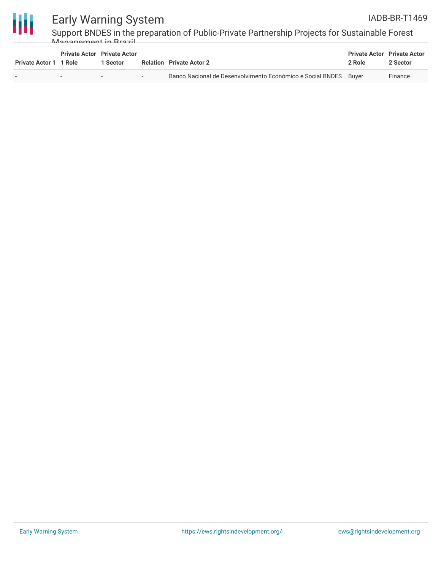



Support BNDES in the preparation of Public-Private Partnership Projects for Sustainable Forest Management in Brazil

| <b>Private Actor 1 1 Role</b> | <b>Private Actor</b> Private Actor<br>1 Sector |                          | <b>Relation</b> Private Actor 2                                  | <b>Private Actor</b> Private Actor<br>2 Role | 2 Sector |
|-------------------------------|------------------------------------------------|--------------------------|------------------------------------------------------------------|----------------------------------------------|----------|
|                               |                                                | $\overline{\phantom{a}}$ | Banco Nacional de Desenvolvimento Econômico e Social BNDES Buver |                                              | Finance  |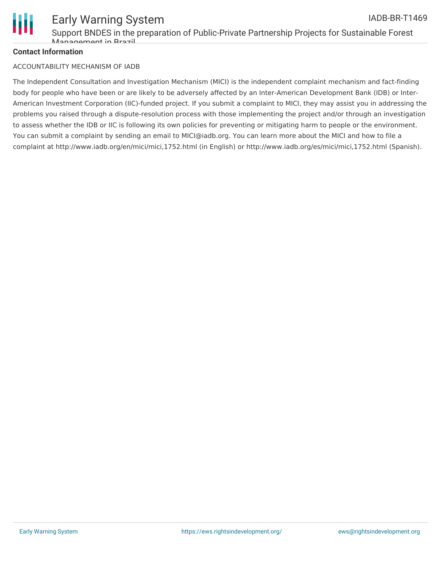

### **Contact Information**

#### ACCOUNTABILITY MECHANISM OF IADB

The Independent Consultation and Investigation Mechanism (MICI) is the independent complaint mechanism and fact-finding body for people who have been or are likely to be adversely affected by an Inter-American Development Bank (IDB) or Inter-American Investment Corporation (IIC)-funded project. If you submit a complaint to MICI, they may assist you in addressing the problems you raised through a dispute-resolution process with those implementing the project and/or through an investigation to assess whether the IDB or IIC is following its own policies for preventing or mitigating harm to people or the environment. You can submit a complaint by sending an email to MICI@iadb.org. You can learn more about the MICI and how to file a complaint at http://www.iadb.org/en/mici/mici,1752.html (in English) or http://www.iadb.org/es/mici/mici,1752.html (Spanish).